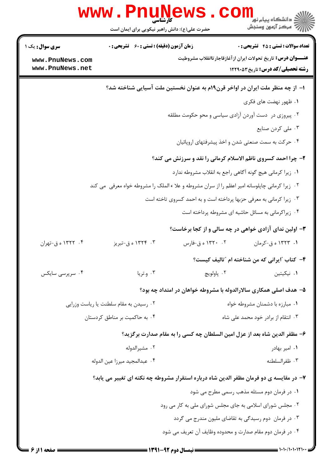|                                    | <b>WWW. PNUNE</b><br>کارشناسی<br>حضرت علی(ع): دانش راهبر نیکویی برای ایمان است                  |                                                                     | ڪ دانشڪاه پيا <sub>م</sub> نور<br><mark>√</mark> مرڪز آزمون وسنڊش                                                 |
|------------------------------------|-------------------------------------------------------------------------------------------------|---------------------------------------------------------------------|-------------------------------------------------------------------------------------------------------------------|
| <b>سری سوال :</b> یک ۱             | <b>زمان آزمون (دقیقه) : تستی : 60 ٪ تشریحی : 0</b>                                              |                                                                     | <b>تعداد سوالات : تستی : 45 گشریحی : 0</b>                                                                        |
| www.PnuNews.com<br>www.PnuNews.net |                                                                                                 |                                                                     | <b>عنـــوان درس:</b> تاریخ تحولات ایران ازآغازقاجارتاانقلاب مشروطیت<br><b>رشته تحصیلی/کد درس:</b> تاریخ33012 1229 |
|                                    |                                                                                                 |                                                                     | ا– از چه منظر ملت ایران در اواخر قرن۱۹م به عنوان نخستین ملت آسیایی شناخته شد؟                                     |
|                                    |                                                                                                 |                                                                     | ۰۱ ظهور نهضت های فکری                                                                                             |
|                                    |                                                                                                 | ۰۲ پیروزی در دست آوردن آزادی سیاسی و محو حکومت مطلقه                |                                                                                                                   |
|                                    |                                                                                                 |                                                                     | ۰۳ ملی کردن صنایع                                                                                                 |
|                                    |                                                                                                 |                                                                     | ۰۴ حرکت به سمت صنعتی شدن و اخذ پیشرفتهای اروپائیان                                                                |
|                                    |                                                                                                 |                                                                     | ۲- چرا احمد کسروی ناظم الاسلام کرمانی را نقد و سرزنش می کند؟                                                      |
|                                    |                                                                                                 |                                                                     | ۰۱ زیرا کرمانی هیچ گونه آگاهی راجع به انقلاب مشروطه ندارد                                                         |
|                                    | ۰۲ زیرا کرمانی چاپلوسانه امیر اعظم را از سران مشروطه و علا ء الملک را مشروطه خواه معرفی  می کند |                                                                     |                                                                                                                   |
|                                    |                                                                                                 | ۰۳ زیرا کرمانی به معرفی حزبها پرداخته است و به احمد کسروی تاخته است |                                                                                                                   |
|                                    |                                                                                                 |                                                                     | ۰۴ زیراکرمانی به مسائل حاشیه ای مشروطه پرداخته است                                                                |
|                                    |                                                                                                 |                                                                     | <b>۳</b> - اولین ندای آزادی خواهی در چه سالی و از کجا برخاست؟                                                     |
| ۰۴ - ۱۳۲۲ ه ق-تهران                | ۰۳ - ۱۳۲۴ ه ق-تبريز                                                                             | ۰۲ - ۱۳۲۰ ه ق-فارس                                                  | ۰۱ ۱۳۲۳ ه ق-کرمان                                                                                                 |
|                                    |                                                                                                 |                                                                     | ۴- کتاب آایرانی که من شناخته ام "تالیف کیست؟                                                                      |
| ۰۴ سرپرسی سایکس                    | ۰۳ و.تریا                                                                                       | ٢. پاولويچ                                                          | ۰۱ نیکیتین                                                                                                        |
|                                    |                                                                                                 |                                                                     | ۵– هدف اصلی همکاری سالارالدوله با مشروطه خواهان در امتداد چه بود؟                                                 |
|                                    | ۰۲ رسیدن به مقام سلطنت یا ریاست وزرایی                                                          |                                                                     | ٠١ مبارزه با دشمنان مشروطه خواه                                                                                   |
|                                    | ۰۴ به حاکمیت بر مناطق کردستان                                                                   |                                                                     | ۰۳ انتقام از برادر خود محمد على شاه                                                                               |
|                                    |                                                                                                 |                                                                     | ۶- مظفر الدین شاه بعد از عزل امین السلطان چه کسی را به مقام صدارت برگزید؟                                         |
|                                    | ۰۲ مشيرالدوله                                                                                   |                                                                     | ٠١. امير بهادر                                                                                                    |
|                                    | ۰۴ عبدالمجيد ميرزا عين الدوله                                                                   |                                                                     | ۰۳ ظفرالسلطنه                                                                                                     |
|                                    |                                                                                                 |                                                                     | ۷– در مقایسه ی دو فرمان مظفر الدین شاه درباره استقرار مشروطه چه نکته ای تغییر می یابد؟                            |
|                                    |                                                                                                 |                                                                     | ۰۱ در فرمان دوم مسئله مذهب رسمی مطرح می شود                                                                       |
|                                    |                                                                                                 | ۰۲ مجلس شورای اسلامی به جای مجلس شورای ملی به کار می رود            |                                                                                                                   |
|                                    |                                                                                                 |                                                                     | ۰۳ در فرمان دوم رسیدگی به تقاضای ملیون مندرج می گردد                                                              |
|                                    |                                                                                                 | ۰۴ در فرمان دوم مقام صدارت و محدوده وظایف آن تعریف می شود           |                                                                                                                   |
|                                    |                                                                                                 |                                                                     |                                                                                                                   |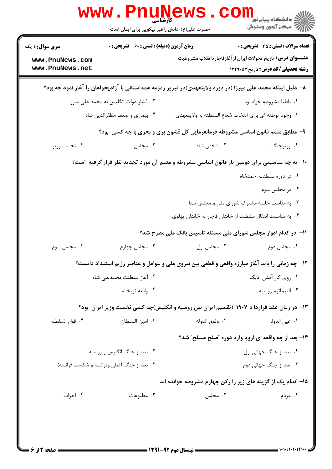|                                    | <b>www.PnuNews</b><br>حضرت علی(ع): دانش راهبر نیکویی برای ایمان است |                                                                                                              | ڪ دانشڪاه پيا <sub>م</sub> نور<br><mark>√</mark> مرڪز آزمون وسنڊش |
|------------------------------------|---------------------------------------------------------------------|--------------------------------------------------------------------------------------------------------------|-------------------------------------------------------------------|
| <b>سری سوال : ۱ یک</b>             | <b>زمان آزمون (دقیقه) : تستی : 60 ٪ تشریحی : 0</b>                  |                                                                                                              | <b>تعداد سوالات : تستی : 45 گشریحی : 0</b>                        |
| www.PnuNews.com<br>www.PnuNews.net |                                                                     | <b>عنــــوان درس:</b> تاریخ تحولات ایران از آغازقاجار تاانقلاب مشروطیت                                       | <b>رشته تحصیلی/کد درس:</b> تاریخ ۱۲۲۹۰۵۳                          |
|                                    |                                                                     | ۸– دلیل اینکه محمد علی میرزا (در دوره ولایتعهدی)در تبریز زمزمه همداستانی با آزادیخواهان را آغاز نمود چه بود؟ |                                                                   |
|                                    | ۲. فشار دولت انگلیس به محمد علی میرزا                               |                                                                                                              | ۰۱ باطنا مشروطه خواه بود                                          |
|                                    | ۰۴ بیماری و ضعف مظفرالدین شاه                                       | ۰۳ وجود توطئه اي براي انتخاب شعاع السلطنه به ولايتعهدي                                                       |                                                                   |
|                                    |                                                                     | ۹- مطابق متمم قانون اساسی مشروطه فرمانفرمایی کل قشون بری و بحری با چه کسی ًبود؟                              |                                                                   |
| ۰۴ نخست وزير                       | ۰۳ مجلس                                                             | ۰۲ شخص شاه                                                                                                   | ١. وزيرجنگ                                                        |
|                                    |                                                                     | ∙۱− به چه مناسبتی برای دومین بار قانون اساسی مشروطه و متمم آن مورد تجدید نظر قرار گرفته  ست؟                 |                                                                   |
|                                    |                                                                     |                                                                                                              | ۰۱ در دوره سلطنت احمدشاه                                          |
|                                    |                                                                     |                                                                                                              | ۰۲ در مجلس سوم                                                    |
|                                    |                                                                     | ۰۳ به مناست جلسه مشترک شورای ملی و مجلس سنا                                                                  |                                                                   |
|                                    |                                                                     | ۰۴ به مناسبت انتقال سلطنت از خاندان قاجار به خاندان پهلوی                                                    |                                                                   |
|                                    |                                                                     | ۱۱– در کدام ادوار مجلس شورای ملی مسئله تاسیس بانک ملی مطرح شد؟                                               |                                                                   |
| ۰۴ مجلس سوم                        | ۰۳ مجلس چهارم                                                       | ٠٢ مجلس اول                                                                                                  | ۰۱ مجلس دوم                                                       |
|                                    |                                                                     | ۱۲- چه زمانی را باید آغاز مبارزه واقعی و قطعی بین نیروی ملی و عوامل و عناصر رژیم استبداد دانست؟              |                                                                   |
|                                    | ۰۲ آغاز سلطنت محمدعلی شاه                                           |                                                                                                              | ۰۱ روی کار آمدن اتابک                                             |
|                                    | ۰۴ واقعه تويخانه                                                    |                                                                                                              | ۰۳ التيماتوم روسيه                                                |
|                                    |                                                                     | ۱۳- در زمان عقد قراردا د ۱۹۰۷ (تقسیم ایران بین روسیه و انگلیس)چه کسی نخست وزیر ایران ًبود؟                   |                                                                   |
| ۰۴ قوام السلطنه                    | ۰۳ امين السلطان                                                     | ٠٢ وثوق الدوله                                                                                               | ٠١. عين الدوله                                                    |
|                                    |                                                                     | <b>۱۴- بعد از چه واقعه ای اروپا وارد دوره "صلح مسلح" شد؟</b>                                                 |                                                                   |
|                                    | ۰۲ بعد از جنگ انگلیس و روسیه                                        |                                                                                                              | ٠١. بعد از جنگ جهاني اول                                          |
|                                    | ۰۴ بعد از جنگ آلمان وفرانسه و شکست فرانسه)                          |                                                                                                              | ۰۳ بعد از جنگ جهانی دوم                                           |
|                                    |                                                                     | ۱۵– کدام یک از گزینه های زیر را رکن چهارم مشروطه خوانده اند                                                  |                                                                   |
| ۰۴ احزاب                           | ۰۳ مطبوعات                                                          | ۰۲ مجلس                                                                                                      | ۰۱ مردم                                                           |
|                                    |                                                                     |                                                                                                              |                                                                   |
|                                    |                                                                     |                                                                                                              |                                                                   |
|                                    |                                                                     |                                                                                                              |                                                                   |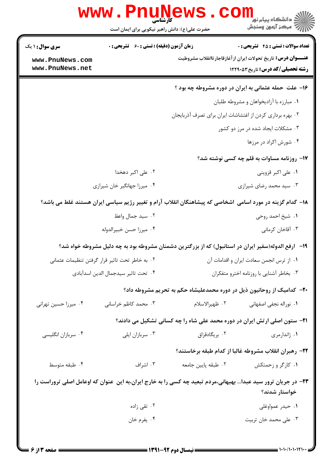| <b>تعداد سوالات : تستی : 45 گشریحی : 0</b>                                                                        |                                                                                                              | <b>زمان آزمون (دقیقه) : تستی : 60 ٪ تشریحی : 0</b> | <b>سری سوال : ۱ یک</b>             |
|-------------------------------------------------------------------------------------------------------------------|--------------------------------------------------------------------------------------------------------------|----------------------------------------------------|------------------------------------|
| <b>عنــــوان درس:</b> تاریخ تحولات ایران از آغازقاجارتاانقلاب مشروطیت<br><b>رشته تحصیلی/کد درس: تاریخ ۱۲۲۹۰۵۳</b> |                                                                                                              |                                                    | www.PnuNews.com<br>www.PnuNews.net |
| ۱۶- علت حمله عثمانی به ایران در دوره مشروطه چه بود ؟                                                              |                                                                                                              |                                                    |                                    |
| ۰۱ مبارزه با آزادیخواهان و مشروطه طلبان                                                                           |                                                                                                              |                                                    |                                    |
|                                                                                                                   | ۰۲ بهره برداری کردن از اغتشاشات ایران برای تصرف آذربایجان                                                    |                                                    |                                    |
| ۰۳ مشکلات ایجاد شده در مرز دو کشور                                                                                |                                                                                                              |                                                    |                                    |
| ۰۴ شورش اکراد در مرزها                                                                                            |                                                                                                              |                                                    |                                    |
| 17- روزنامه مساوات به قلم چه کسی نوشته شد؟                                                                        |                                                                                                              |                                                    |                                    |
| ۰۱ علی اکبر قزوینی                                                                                                |                                                                                                              | ۰۲ علی اکبر دهخدا                                  |                                    |
| ۰۳ سید محمد رضای شیرازی                                                                                           |                                                                                                              | ۰۴ میرزا جهانگیر خان شیرازی                        |                                    |
|                                                                                                                   | ۱۸– گدام گزینه در مورد اسامی ٔاشخاصی که پیشاهنگان انقلاب آرام و تغییر رژیم سیاسی ایران هستند غلط می باشد؟    |                                                    |                                    |
| ۰۱ شیخ احمد روحی                                                                                                  |                                                                                                              | ۰۲ سید جمال واعظ                                   |                                    |
| ۰۳ آقاخان کرمانی                                                                                                  |                                                                                                              | ۰۴ ميرزا حسن خبيرالدوله                            |                                    |
|                                                                                                                   | ۱۹– ارفع الدوله(سفیر ایران در استانبول) که از بزرگترین دشمنان مشروطه بود به چه دلیل مشروطه خواه شد؟          |                                                    |                                    |
| ٠١ از ترس انجمن سعادت ايران و اقدامات آن                                                                          |                                                                                                              | ۰۲ به خاطر تحت تاثیر قرار گرفتن تنظیمات عثمانی     |                                    |
| ۰۳ بخاطر آشنایی با روزنامه اخترو متفکران                                                                          |                                                                                                              | ۰۴ تحت تاثير سيدجمال الدين اسدآبادي                |                                    |
|                                                                                                                   | ۲۰– کدامیک از روحانیون ذیل در دوره محمدعلیشاه حکم به تحریم مشروطه داد؟                                       |                                                    |                                    |
| ٠١. نوراله نجفي اصفهاني                                                                                           | ٠٢ ظهيرالاسلام                                                                                               | ۰۳ محمد کاظم خراسانی                               | ۰۴ میرزا حسین تهرانی               |
|                                                                                                                   | <b>۲۱</b> - ستون اصلی ارتش ایران در دوره محمد علی شاه را چه کسانی تشکیل می دادند؟                            |                                                    |                                    |
| ۰۱ ژاندارمری                                                                                                      | ۰۲ بریگادقزاق                                                                                                | ۰۳ سربازان ايلي                                    | ۰۴ سربازان انگلیسی                 |
| ۲۲– رهبران انقلاب مشروطه غالبا از کدام طبقه برخاستند؟                                                             |                                                                                                              |                                                    |                                    |
| ۰۱ کارگر و زحمتکش                                                                                                 | ٢. طبقه پايين جامعه                                                                                          | ۰۳ اشراف                                           | ۰۴ طبقه متوسط                      |
| خواستار شدند؟                                                                                                     | ۲۳– در جریان ترور سید عبدا بهبهانی،مردم تبعید چه کسی را به خارج ایران،به این عنوان که اوعامل اصلی تروراست را |                                                    |                                    |
| ۰۱ حیدر عمواوغلی                                                                                                  |                                                                                                              | ۰۲ تقی زاده                                        |                                    |
| ۰۳ علی محمد خان تربیت                                                                                             |                                                                                                              | ۰۴ يفرم خان                                        |                                    |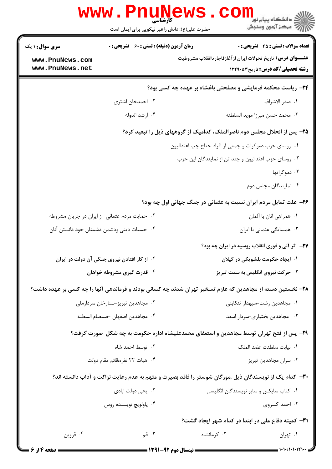|                                               | کارشناسی<br>حضرت علی(ع): دانش راهبر نیکویی برای ایمان است |                                                                                                            | ر دانشڪاه پيام نور<br>ا∜ مرکز آزمون وسنڊش  |
|-----------------------------------------------|-----------------------------------------------------------|------------------------------------------------------------------------------------------------------------|--------------------------------------------|
| <b>سری سوال : ۱ یک</b>                        | <b>زمان آزمون (دقیقه) : تستی : 60 ٪ تشریحی : 0</b>        |                                                                                                            | <b>تعداد سوالات : تستی : 45 گشریحی : 0</b> |
| www.PnuNews.com<br>www.PnuNews.net            |                                                           | <b>عنــــوان درس:</b> تاریخ تحولات ایران از آغازقاجارتاانقلاب مشروطیت                                      | <b>رشته تحصیلی/کد درس: تاریخ ۱۲۲۹۰۵۳</b>   |
|                                               |                                                           | <b>۲۴</b> - ریاست محکمه فرمایشی و مصلحتی باغشاه بر عهده چه کسی بود؟                                        |                                            |
|                                               | ۰۲ احمدخان اشتری                                          |                                                                                                            | ٠١ صدر الاشراف                             |
|                                               | ۰۴ ارشد الدوله                                            |                                                                                                            | ٠٣ محمد حسن ميرزا مويد السلطنه             |
|                                               |                                                           | ۲۵- پس از انحلال مجلس دوم ناصرالملک، کدامیک از گروههای ذیل را تبعید کرد؟                                   |                                            |
|                                               |                                                           | ۰۱ روسای حزب دموکرات و جمعی از افراد جناح چپ اعتدالیون                                                     |                                            |
|                                               |                                                           | ۰۲ روسای حزب اعتدالیون و چند تن از نمایندگان این حزب                                                       |                                            |
|                                               |                                                           |                                                                                                            | ۰۳ دموکراتها                               |
|                                               |                                                           |                                                                                                            | ۰۴ نمایندگان مجلس دوم                      |
|                                               |                                                           | ۲۶- علت تمایل مردم ایران نسبت به عثمانی در جنگ جهانی اول چه بود؟                                           |                                            |
| ۰۲ حمایت مردم عثمانی از ایران در جریان مشروطه |                                                           |                                                                                                            | ۰۱ همراهي انان با آلمان                    |
| ۰۴ حسیات دینی ودشمن دشمنان خود دانستن آنان    |                                                           |                                                                                                            | ۰۳ همسایگی عثمانی با ایران                 |
|                                               |                                                           | <b>۲۷</b> - آثر آنی و فوری انقلاب روسیه در ایران چه بود؟                                                   |                                            |
|                                               | ۰۲ از کار افتادن نیروی جنگی آن دولت در ایران              |                                                                                                            | ۰۱ ایجاد حکومت بلشویکی در گیلان            |
|                                               | ۰۴ قدرت گیری مشروطه خواهان                                |                                                                                                            | ۰۳ حرکت نیروی انگلیس به سمت تبریز          |
|                                               |                                                           | ۲۸- نخستین دسته از مجاهدین که عازم تسخیر تهران شدند چه کسانی بودند و فرماندهی آنها را چه کسی بر عهده داشت؟ |                                            |
|                                               | ۰۲ مجاهدین تبریز-ستارخان سردارملی                         |                                                                                                            | ۰۱ مجاهدین رشت-سپهدار تنکابنی              |
|                                               | ۰۴ مجاهدين اصفهان -صمصام السطنه                           |                                                                                                            | ۰۳ مجاهدین بختیاری-سردار اسعد              |
|                                               |                                                           | ۲۹- پس از فتح تهران توسط مجاهدین و استعفای محمدعلیشاه اداره حکومت به چه شکل ًصورت گرفت؟                    |                                            |
|                                               | ۰۲ توسط احمد شاه                                          |                                                                                                            | ٠١. نيابت سلطنت عضد الملك                  |
|                                               | ۰۴ هيات ٢٢ نفره،قائم مقام دولت                            |                                                                                                            | ۰۳ سران مجاهدين تبريز                      |
|                                               |                                                           | ۳۰– کدام یک از نویسندگان ذیل ،مورگان شوستر را فاقد بصیرت و متهم به عدم رعایت نزاکت و آداب دانسته اند؟      |                                            |
|                                               | ۰۲ يحي دولت ابادي                                         | ۰۱ کتاب سایکس و سایر نویسندگان انگلیسی                                                                     |                                            |
|                                               | ۰۴ پاولويچ نويسنده روس                                    |                                                                                                            | ۰۳ احمد کسروی                              |
|                                               |                                                           | <b>۳۱</b> - کمیته دفاع ملی در ابتدا در کدام شهر ایجاد گشت؟                                                 |                                            |
| ۰۴ قزوين                                      | ۰۳ قم                                                     | ۰۲ کرمانشاه                                                                                                | ۰۱ تهران                                   |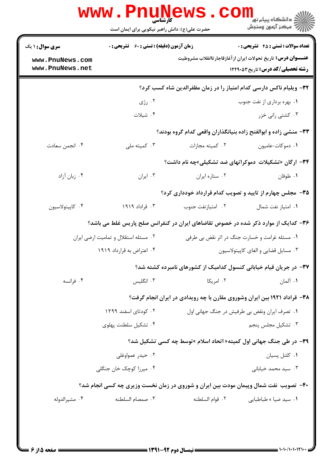| <b>تعداد سوالات : تستی : 45 - تشریحی : 0</b> | <b>عنــــوان درس:</b> تاریخ تحولات ایران از آغازقاجارتاانقلاب مشروطیت                | <b>زمان آزمون (دقیقه) : تستی : 60 ٪ تشریحی : 0</b> | <b>سری سوال : ۱ یک</b><br>www.PnuNews.com |
|----------------------------------------------|--------------------------------------------------------------------------------------|----------------------------------------------------|-------------------------------------------|
| <b>رشته تحصیلی/کد درس:</b> تاریخ ۱۲۲۹۰۵۳     |                                                                                      |                                                    | www.PnuNews.net                           |
|                                              | ۳۲- ویلیام ناکس دارسی کدام امتیاز را در زمان مظفرالدین شاه کسب کرد؟                  |                                                    |                                           |
| ۰۱ بهره برداری از نفت جنوب                   |                                                                                      | ۰۲ رژی                                             |                                           |
| ۰۳ کشتی رانی خزر                             |                                                                                      | ۰۴ شیلات                                           |                                           |
|                                              | ۳۳– منشی زاده و ابوالفتح زاده بنیانگذاران واقعی کدام گروه بودند؟                     |                                                    |                                           |
| ٠١ دموكات-عاميون                             | ٢. كميته مجازات                                                                      | ۰۳ کمیته ملی                                       | ۰۴ انجمن سعادت                            |
|                                              | ۳۴- ارگان «تشکیلات دموکراتهای ضد تشکیلی»چه نام داشت؟                                 |                                                    |                                           |
| ۰۱ طوفان                                     | ٠٢ ستاره ايران                                                                       | ۰۳ ایران                                           | ۰۴ زبان آزاد                              |
|                                              | ۳۵- مجلس چهارم از تایید و تصویب کدام قرارداد خودداری کرد؟                            |                                                    |                                           |
| ٠١. امتياز نفت شمال                          | ٠٢ امتيازنفت جنوب                                                                    | ۰۳ قراداد ۱۹۱۹                                     | ۰۴ كاپيتولاسيون                           |
|                                              | ۳۶- کدایک از موارد ذکر شده در خصوص تقاضاهای ایران در کنفرانس صلح پاریس غلط می باشد؟  |                                                    |                                           |
|                                              | ۰۱ مسئله غرامت و خسارت جنگ در اثر نقض بی طرفی                                        | ۰۲ مسئله استقلال و تمامیت ارضی ایران               |                                           |
| ۰۳ مسایل قضایی و الغای کاپیتولاسیون          |                                                                                      | ۰۴ اعتراض به قرارداد ۱۹۱۹                          |                                           |
|                                              | ۳۷- در جریان قیام خیابانی کنسول کدامیک از کشورهای نامبرده کشته شد؟                   |                                                    |                                           |
| ۰۱ آلمان                                     | ۰۲ امریکا                                                                            | ۰۳ انگلیس                                          | ۰۴ فرانسه                                 |
|                                              | ۳۸- قراداد ۱۹۲۱ بین ایران وشوروی مقارن با چه رویدادی در ایران انجام گرفت؟            |                                                    |                                           |
|                                              | ۰۱ تصرف ایران ونقض بی طرفیش در جنگ جهانی اول                                         | ۰۲ کودتای اسفند ۱۲۹۹                               |                                           |
| ۰۳ تشکیل مجلس پنجم                           |                                                                                      | ۰۴ تشکیل سلطنت پهلوی                               |                                           |
|                                              | ۳۹- در طی جنگ جهانی اول کمیته« اتحاد اسلام »توسط چه کسی تشکیل شد؟                    |                                                    |                                           |
| ۰۱ کلنل پسیان                                |                                                                                      | ۰۲ حیدر عمواوغلی                                   |                                           |
| ۰۳ سید محمد خیابانی                          |                                                                                      | ۰۴ میرزا کوچک خان جنگلی                            |                                           |
|                                              | ۴۰- تصویب نفت شمال وپیمان مودت بین ایران و شوروی در زمان نخست وزیری چه کسی انجام شد؟ |                                                    |                                           |
| ٠١. سيد ضيا ، طباطبايي                       | ٢. قوام السلطنه                                                                      | ۰۳ صمصام السلطنه                                   | ۰۴ مشيرالدوله                             |